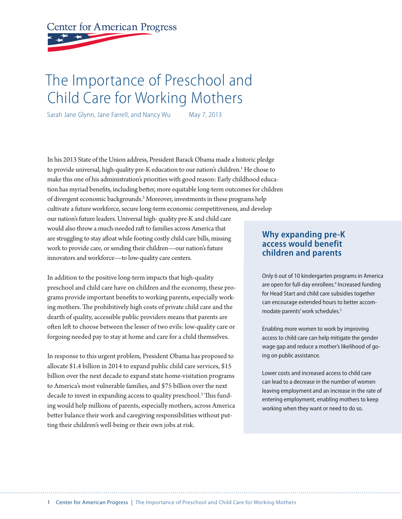# **Center for American Progress**

## The Importance of Preschool and Child Care for Working Mothers

Sarah Jane Glynn, Jane Farrell, and Nancy Wu May 7, 2013

In his 2013 State of the Union address, President Barack Obama made a historic pledge to provide universal, high-quality pre-K education to our nation's children.<sup>1</sup> He chose to make this one of his administration's priorities with good reason: Early childhood education has myriad benefits, including better, more equitable long-term outcomes for children of divergent economic backgrounds.<sup>2</sup> Moreover, investments in these programs help cultivate a future workforce, secure long-term economic competitiveness, and develop our nation's future leaders. Universal high- quality pre-K and child care

would also throw a much-needed raft to families across America that are struggling to stay afloat while footing costly child care bills, missing work to provide care, or sending their children—our nation's future innovators and workforce—to low-quality care centers.

In addition to the positive long-term impacts that high-quality preschool and child care have on children and the economy, these programs provide important benefits to working parents, especially working mothers. The prohibitively high costs of private child care and the dearth of quality, accessible public providers means that parents are often left to choose between the lesser of two evils: low-quality care or forgoing needed pay to stay at home and care for a child themselves.

In response to this urgent problem, President Obama has proposed to allocate \$1.4 billion in 2014 to expand public child care services, \$15 billion over the next decade to expand state home-visitation programs to America's most vulnerable families, and \$75 billion over the next decade to invest in expanding access to quality preschool.<sup>3</sup> This funding would help millions of parents, especially mothers, across America better balance their work and caregiving responsibilities without putting their children's well-being or their own jobs at risk.

#### **Why expanding pre-K access would benefit children and parents**

Only 6 out of 10 kindergarten programs in America are open for full-day enrollees.<sup>4</sup> Increased funding for Head Start and child care subsidies together can encourage extended hours to better accommodate parents' work schedules.<sup>5</sup>

Enabling more women to work by improving access to child care can help mitigate the gender wage gap and reduce a mother's likelihood of going on public assistance.

Lower costs and increased access to child care can lead to a decrease in the number of women leaving employment and an increase in the rate of entering employment, enabling mothers to keep working when they want or need to do so.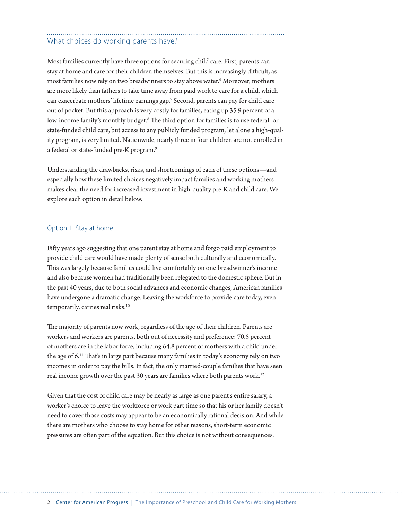### What choices do working parents have?

Most families currently have three options for securing child care. First, parents can stay at home and care for their children themselves. But this is increasingly difficult, as most families now rely on two breadwinners to stay above water.6 Moreover, mothers are more likely than fathers to take time away from paid work to care for a child, which can exacerbate mothers' lifetime earnings gap.7 Second, parents can pay for child care out of pocket. But this approach is very costly for families, eating up 35.9 percent of a low-income family's monthly budget.<sup>8</sup> The third option for families is to use federal- or state-funded child care, but access to any publicly funded program, let alone a high-quality program, is very limited. Nationwide, nearly three in four children are not enrolled in a federal or state-funded pre-K program.9

Understanding the drawbacks, risks, and shortcomings of each of these options—and especially how these limited choices negatively impact families and working mothers makes clear the need for increased investment in high-quality pre-K and child care. We explore each option in detail below.

#### Option 1: Stay at home

Fifty years ago suggesting that one parent stay at home and forgo paid employment to provide child care would have made plenty of sense both culturally and economically. This was largely because families could live comfortably on one breadwinner's income and also because women had traditionally been relegated to the domestic sphere. But in the past 40 years, due to both social advances and economic changes, American families have undergone a dramatic change. Leaving the workforce to provide care today, even temporarily, carries real risks.<sup>10</sup>

The majority of parents now work, regardless of the age of their children. Parents are workers and workers are parents, both out of necessity and preference: 70.5 percent of mothers are in the labor force, including 64.8 percent of mothers with a child under the age of  $6<sup>11</sup>$  That's in large part because many families in today's economy rely on two incomes in order to pay the bills. In fact, the only married-couple families that have seen real income growth over the past 30 years are families where both parents work.<sup>12</sup>

Given that the cost of child care may be nearly as large as one parent's entire salary, a worker's choice to leave the workforce or work part time so that his or her family doesn't need to cover those costs may appear to be an economically rational decision. And while there are mothers who choose to stay home for other reasons, short-term economic pressures are often part of the equation. But this choice is not without consequences.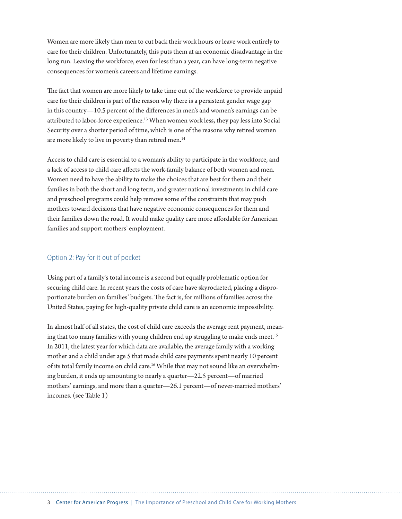Women are more likely than men to cut back their work hours or leave work entirely to care for their children. Unfortunately, this puts them at an economic disadvantage in the long run. Leaving the workforce, even for less than a year, can have long-term negative consequences for women's careers and lifetime earnings.

The fact that women are more likely to take time out of the workforce to provide unpaid care for their children is part of the reason why there is a persistent gender wage gap in this country-10.5 percent of the differences in men's and women's earnings can be attributed to labor-force experience.<sup>13</sup> When women work less, they pay less into Social Security over a shorter period of time, which is one of the reasons why retired women are more likely to live in poverty than retired men.<sup>14</sup>

Access to child care is essential to a woman's ability to participate in the workforce, and a lack of access to child care affects the work-family balance of both women and men. Women need to have the ability to make the choices that are best for them and their families in both the short and long term, and greater national investments in child care and preschool programs could help remove some of the constraints that may push mothers toward decisions that have negative economic consequences for them and their families down the road. It would make quality care more affordable for American families and support mothers' employment.

#### Option 2: Pay for it out of pocket

Using part of a family's total income is a second but equally problematic option for securing child care. In recent years the costs of care have skyrocketed, placing a disproportionate burden on families' budgets. The fact is, for millions of families across the United States, paying for high-quality private child care is an economic impossibility.

In almost half of all states, the cost of child care exceeds the average rent payment, meaning that too many families with young children end up struggling to make ends meet.<sup>15</sup> In 2011, the latest year for which data are available, the average family with a working mother and a child under age 5 that made child care payments spent nearly 10 percent of its total family income on child care.<sup>16</sup> While that may not sound like an overwhelming burden, it ends up amounting to nearly a quarter—22.5 percent—of married mothers' earnings, and more than a quarter—26.1 percent—of never-married mothers' incomes. (see Table 1)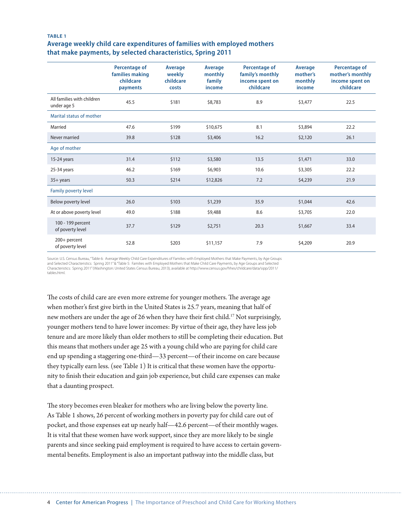#### **TABLE 1 Average weekly child care expenditures of families with employed mothers that make payments, by selected characteristics, Spring 2011**

|                                           | <b>Percentage of</b><br>families making<br>childcare<br>payments | Average<br>weekly<br>childcare<br>costs | Average<br>monthly<br>family<br>income | Percentage of<br>family's monthly<br>income spent on<br>childcare | Average<br>mother's<br>monthly<br>income | Percentage of<br>mother's monthly<br>income spent on<br>childcare |
|-------------------------------------------|------------------------------------------------------------------|-----------------------------------------|----------------------------------------|-------------------------------------------------------------------|------------------------------------------|-------------------------------------------------------------------|
| All families with children<br>under age 5 | 45.5                                                             | \$181                                   | \$8,783                                | 8.9                                                               | \$3,477                                  | 22.5                                                              |
| Marital status of mother                  |                                                                  |                                         |                                        |                                                                   |                                          |                                                                   |
| Married                                   | 47.6                                                             | \$199                                   | \$10,675                               | 8.1                                                               | \$3,894                                  | 22.2                                                              |
| Never married                             | 39.8                                                             | \$128                                   | \$3,406                                | 16.2                                                              | \$2,120                                  | 26.1                                                              |
| Age of mother                             |                                                                  |                                         |                                        |                                                                   |                                          |                                                                   |
| 15-24 years                               | 31.4                                                             | \$112                                   | \$3,580                                | 13.5                                                              | \$1,471                                  | 33.0                                                              |
| 25-34 years                               | 46.2                                                             | \$169                                   | \$6,903                                | 10.6                                                              | \$3,305                                  | 22.2                                                              |
| $35+$ years                               | 50.3                                                             | \$214                                   | \$12,826                               | 7.2                                                               | \$4,239                                  | 21.9                                                              |
| Family poverty level                      |                                                                  |                                         |                                        |                                                                   |                                          |                                                                   |
| Below poverty level                       | 26.0                                                             | \$103                                   | \$1,239                                | 35.9                                                              | \$1,044                                  | 42.6                                                              |
| At or above poverty level                 | 49.0                                                             | \$188                                   | \$9,488                                | 8.6                                                               | \$3,705                                  | 22.0                                                              |
| 100 - 199 percent<br>of poverty level     | 37.7                                                             | \$129                                   | \$2,751                                | 20.3                                                              | \$1,667                                  | 33.4                                                              |
| 200+ percent<br>of poverty level          | 52.8                                                             | \$203                                   | \$11,157                               | 7.9                                                               | \$4,209                                  | 20.9                                                              |

Source: U.S. Census Bureau,"Table 6: Average Weekly Child Care Expenditures of Families with Employed Mothers that Make Payments, by Age Groups<br>and Selected Characteristics: Spring 2011″&"Table 5: Families with Employed Characteristics: Spring 2011" (Washington: United States Census Bureau, 2013), available at http://www.census.gov/hhes/childcare/data/sipp/2011/ tables.html.

The costs of child care are even more extreme for younger mothers. The average age when mother's first give birth in the United States is 25.7 years, meaning that half of new mothers are under the age of 26 when they have their first child.<sup>17</sup> Not surprisingly, younger mothers tend to have lower incomes: By virtue of their age, they have less job tenure and are more likely than older mothers to still be completing their education. But this means that mothers under age 25 with a young child who are paying for child care end up spending a staggering one-third—33 percent—of their income on care because they typically earn less. (see Table 1) It is critical that these women have the opportunity to finish their education and gain job experience, but child care expenses can make that a daunting prospect.

The story becomes even bleaker for mothers who are living below the poverty line. As Table 1 shows, 26 percent of working mothers in poverty pay for child care out of pocket, and those expenses eat up nearly half—42.6 percent—of their monthly wages. It is vital that these women have work support, since they are more likely to be single parents and since seeking paid employment is required to have access to certain governmental benefits. Employment is also an important pathway into the middle class, but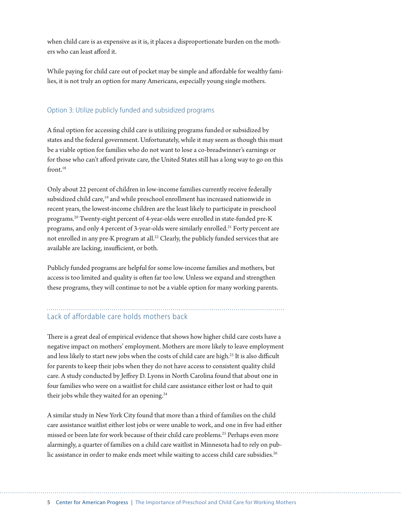when child care is as expensive as it is, it places a disproportionate burden on the mothers who can least afford it.

While paying for child care out of pocket may be simple and affordable for wealthy families, it is not truly an option for many Americans, especially young single mothers.

#### Option 3: Utilize publicly funded and subsidized programs

A final option for accessing child care is utilizing programs funded or subsidized by states and the federal government. Unfortunately, while it may seem as though this must be a viable option for families who do not want to lose a co-breadwinner's earnings or for those who can't afford private care, the United States still has a long way to go on this front.<sup>18</sup>

Only about 22 percent of children in low-income families currently receive federally subsidized child care,<sup>19</sup> and while preschool enrollment has increased nationwide in recent years, the lowest-income children are the least likely to participate in preschool programs.20 Twenty-eight percent of 4-year-olds were enrolled in state-funded pre-K programs, and only 4 percent of 3-year-olds were similarly enrolled.<sup>21</sup> Forty percent are not enrolled in any pre-K program at all.<sup>22</sup> Clearly, the publicly funded services that are available are lacking, insufficient, or both.

Publicly funded programs are helpful for some low-income families and mothers, but access is too limited and quality is often far too low. Unless we expand and strengthen these programs, they will continue to not be a viable option for many working parents.

## Lack of affordable care holds mothers back

There is a great deal of empirical evidence that shows how higher child care costs have a negative impact on mothers' employment. Mothers are more likely to leave employment and less likely to start new jobs when the costs of child care are high.<sup>23</sup> It is also difficult for parents to keep their jobs when they do not have access to consistent quality child care. A study conducted by Jeffrey D. Lyons in North Carolina found that about one in four families who were on a waitlist for child care assistance either lost or had to quit their jobs while they waited for an opening.<sup>24</sup>

A similar study in New York City found that more than a third of families on the child care assistance waitlist either lost jobs or were unable to work, and one in five had either missed or been late for work because of their child care problems.<sup>25</sup> Perhaps even more alarmingly, a quarter of families on a child care waitlist in Minnesota had to rely on public assistance in order to make ends meet while waiting to access child care subsidies.<sup>26</sup>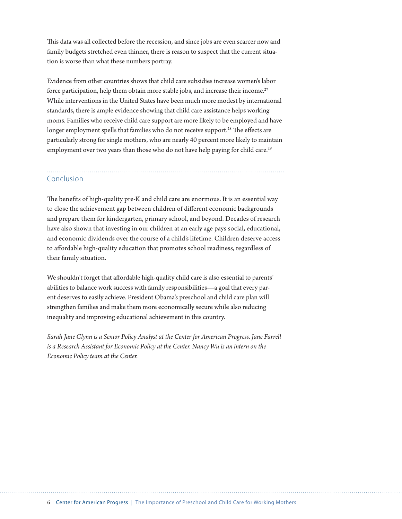This data was all collected before the recession, and since jobs are even scarcer now and family budgets stretched even thinner, there is reason to suspect that the current situation is worse than what these numbers portray.

Evidence from other countries shows that child care subsidies increase women's labor force participation, help them obtain more stable jobs, and increase their income.<sup>27</sup> While interventions in the United States have been much more modest by international standards, there is ample evidence showing that child care assistance helps working moms. Families who receive child care support are more likely to be employed and have longer employment spells that families who do not receive support.<sup>28</sup> The effects are particularly strong for single mothers, who are nearly 40 percent more likely to maintain employment over two years than those who do not have help paying for child care.<sup>29</sup>

#### Conclusion

The benefits of high-quality pre-K and child care are enormous. It is an essential way to close the achievement gap between children of different economic backgrounds and prepare them for kindergarten, primary school, and beyond. Decades of research have also shown that investing in our children at an early age pays social, educational, and economic dividends over the course of a child's lifetime. Children deserve access to affordable high-quality education that promotes school readiness, regardless of their family situation.

We shouldn't forget that affordable high-quality child care is also essential to parents' abilities to balance work success with family responsibilities—a goal that every parent deserves to easily achieve. President Obama's preschool and child care plan will strengthen families and make them more economically secure while also reducing inequality and improving educational achievement in this country.

*Sarah Jane Glynn is a Senior Policy Analyst at the Center for American Progress. Jane Farrell is a Research Assistant for Economic Policy at the Center. Nancy Wu is an intern on the Economic Policy team at the Center.*